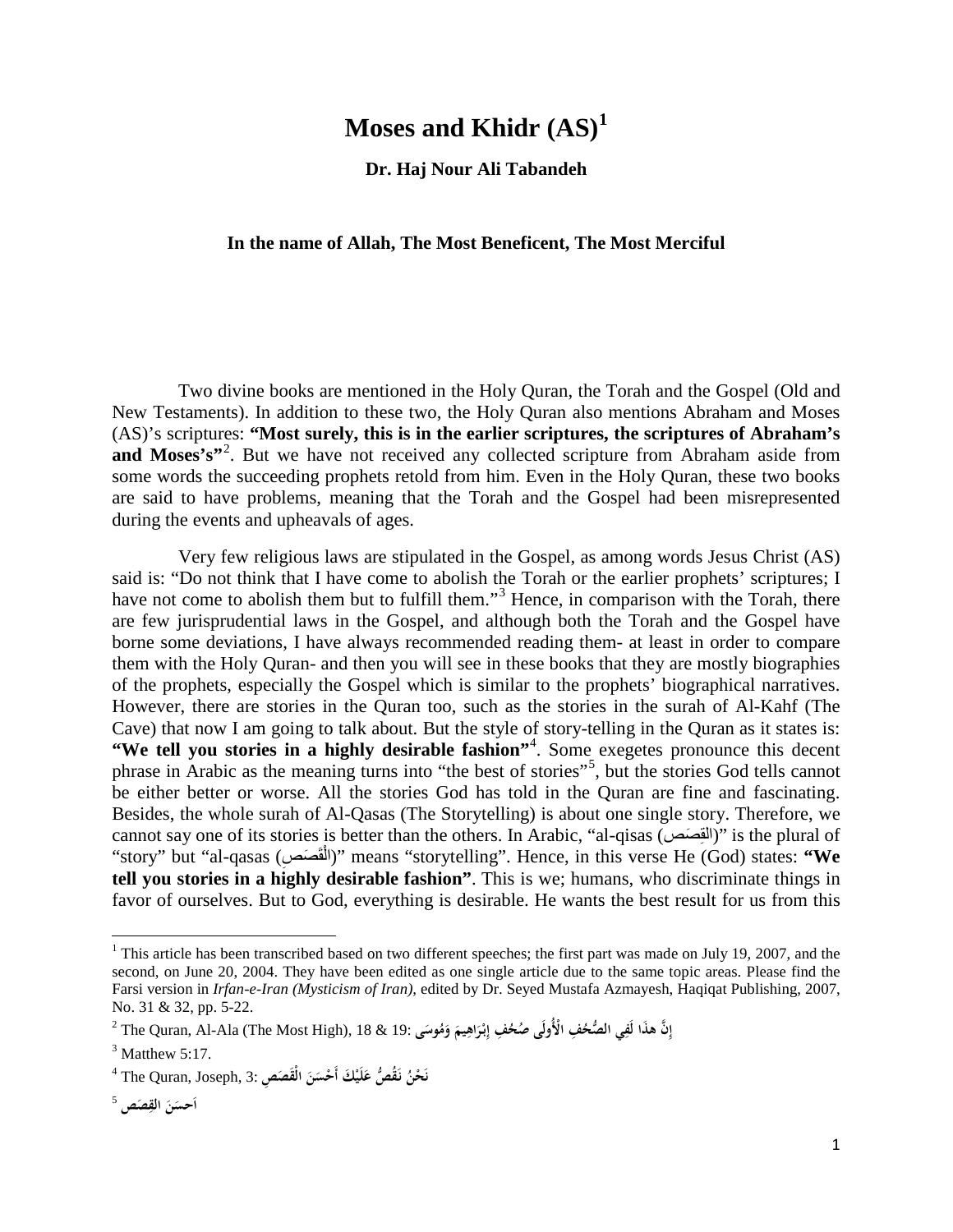## **Moses and Khidr (AS)[1](#page-0-0)**

**Dr. Haj Nour Ali Tabandeh**

## **In the name of Allah, The Most Beneficent, The Most Merciful**

Two divine books are mentioned in the Holy Quran, the Torah and the Gospel (Old and New Testaments). In addition to these two, the Holy Quran also mentions Abraham and Moses (AS)'s scriptures: **"Most surely, this is in the earlier scriptures, the scriptures of Abraham's** and Moses's"<sup>2</sup>. But we have not received any collected scripture from Abraham aside from some words the succeeding prophets retold from him. Even in the Holy Quran, these two books are said to have problems, meaning that the Torah and the Gospel had been misrepresented during the events and upheavals of ages.

Very few religious laws are stipulated in the Gospel, as among words Jesus Christ (AS) said is: "Do not think that I have come to abolish the Torah or the earlier prophets' scriptures; I have not come to abolish them but to fulfill them."<sup>3</sup> Hence, in comparison with the Torah, there are few jurisprudential laws in the Gospel, and although both the Torah and the Gospel have borne some deviations, I have always recommended reading them- at least in order to compare them with the Holy Quran- and then you will see in these books that they are mostly biographies of the prophets, especially the Gospel which is similar to the prophets' biographical narratives. However, there are stories in the Quran too, such as the stories in the surah of Al-Kahf (The Cave) that now I am going to talk about. But the style of story-telling in the Quran as it states is: "We tell you stories in a highly desirable fashion"<sup>4</sup>. Some exegetes pronounce this decent phrase in Arabic as the meaning turns into "the best of stories"<sup>5</sup>, but the stories God tells cannot be either better or worse. All the stories God has told in the Quran are fine and fascinating. Besides, the whole surah of Al-Qasas (The Storytelling) is about one single story. Therefore, we cannot say one of its stories is better than the others. In Arabic, "al-qisas (القِصَصَ)" is the plural of "story" but "al-qasas (الْقَصَصَ)" means "storytelling". Hence, in this verse He (God) states: **"We tell you stories in a highly desirable fashion"**. This is we; humans, who discriminate things in favor of ourselves. But to God, everything is desirable. He wants the best result for us from this

<span id="page-0-0"></span><sup>&</sup>lt;sup>1</sup> This article has been transcribed based on two different speeches; the first part was made on July 19, 2007, and the second, on June 20, 2004. They have been edited as one single article due to the same topic areas. Please find the Farsi version in *Irfan-e-Iran (Mysticism of Iran),* edited by Dr. Seyed Mustafa Azmayesh, Haqiqat Publishing, 2007, No. 31 & 32, pp. 5-22.

 $^2$  The Quran, Al-Ala (The Most High), 18 & 19: إِنَّ هذَا لَفِي الصُّحُفِ الْأُولَى صُحُفِ إِبْرَاهِيمَ وَمُوسَى $^3$  Matthew 5:17.

 $^4$  The Quran, Joseph, 3: أَحْسَنَ الْقَصَصِ  $\alpha$  ,  $\beta$ **ن**

**<sup>ِ</sup>**أحسَنَ القِصَص<sup>5</sup> **ا**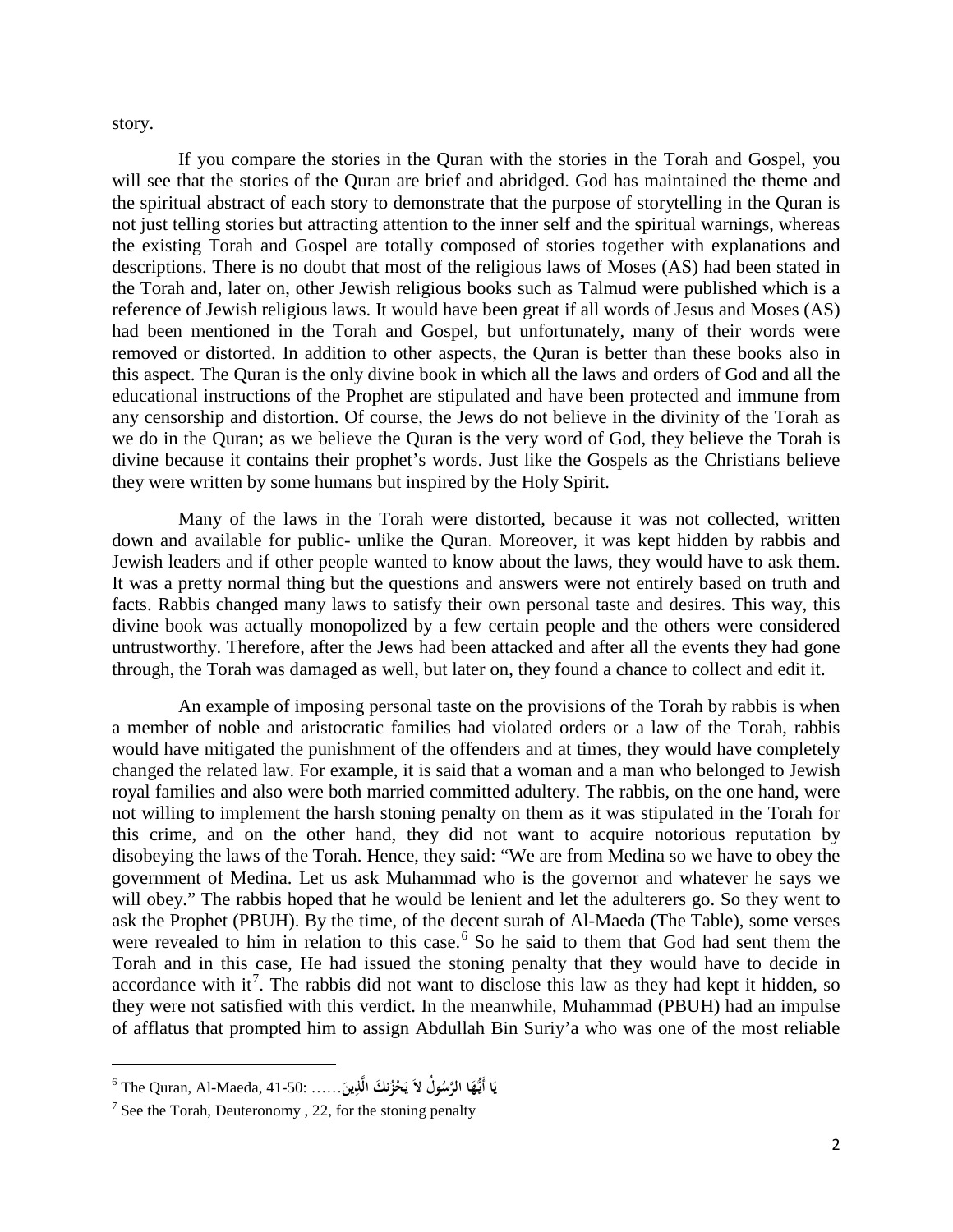story.

If you compare the stories in the Quran with the stories in the Torah and Gospel, you will see that the stories of the Quran are brief and abridged. God has maintained the theme and the spiritual abstract of each story to demonstrate that the purpose of storytelling in the Quran is not just telling stories but attracting attention to the inner self and the spiritual warnings, whereas the existing Torah and Gospel are totally composed of stories together with explanations and descriptions. There is no doubt that most of the religious laws of Moses (AS) had been stated in the Torah and, later on, other Jewish religious books such as Talmud were published which is a reference of Jewish religious laws. It would have been great if all words of Jesus and Moses (AS) had been mentioned in the Torah and Gospel, but unfortunately, many of their words were removed or distorted. In addition to other aspects, the Quran is better than these books also in this aspect. The Quran is the only divine book in which all the laws and orders of God and all the educational instructions of the Prophet are stipulated and have been protected and immune from any censorship and distortion. Of course, the Jews do not believe in the divinity of the Torah as we do in the Quran; as we believe the Quran is the very word of God, they believe the Torah is divine because it contains their prophet's words. Just like the Gospels as the Christians believe they were written by some humans but inspired by the Holy Spirit.

Many of the laws in the Torah were distorted, because it was not collected, written down and available for public- unlike the Quran. Moreover, it was kept hidden by rabbis and Jewish leaders and if other people wanted to know about the laws, they would have to ask them. It was a pretty normal thing but the questions and answers were not entirely based on truth and facts. Rabbis changed many laws to satisfy their own personal taste and desires. This way, this divine book was actually monopolized by a few certain people and the others were considered untrustworthy. Therefore, after the Jews had been attacked and after all the events they had gone through, the Torah was damaged as well, but later on, they found a chance to collect and edit it.

An example of imposing personal taste on the provisions of the Torah by rabbis is when a member of noble and aristocratic families had violated orders or a law of the Torah, rabbis would have mitigated the punishment of the offenders and at times, they would have completely changed the related law. For example, it is said that a woman and a man who belonged to Jewish royal families and also were both married committed adultery. The rabbis, on the one hand, were not willing to implement the harsh stoning penalty on them as it was stipulated in the Torah for this crime, and on the other hand, they did not want to acquire notorious reputation by disobeying the laws of the Torah. Hence, they said: "We are from Medina so we have to obey the government of Medina. Let us ask Muhammad who is the governor and whatever he says we will obey." The rabbis hoped that he would be lenient and let the adulterers go. So they went to ask the Prophet (PBUH). By the time, of the decent surah of Al-Maeda (The Table), some verses were revealed to him in relation to this case.<sup>[6](#page-1-0)</sup> So he said to them that God had sent them the Torah and in this case, He had issued the stoning penalty that they would have to decide in accordance with it<sup>[7](#page-1-1)</sup>. The rabbis did not want to disclose this law as they had kept it hidden, so they were not satisfied with this verdict. In the meanwhile, Muhammad (PBUH) had an impulse of afflatus that prompted him to assign Abdullah Bin Suriy'a who was one of the most reliable

l

<span id="page-1-0"></span><sup>6</sup> The Quran, Al-Maeda, 41-50: …… **ا نك ُ ُّأَيـه ُول َ ي ا َ َ َ ُ َّ الرس لا َ ْحز َ ي ِين َّذ ال**

<span id="page-1-1"></span> $<sup>7</sup>$  See the Torah, Deuteronomy, 22, for the stoning penalty</sup>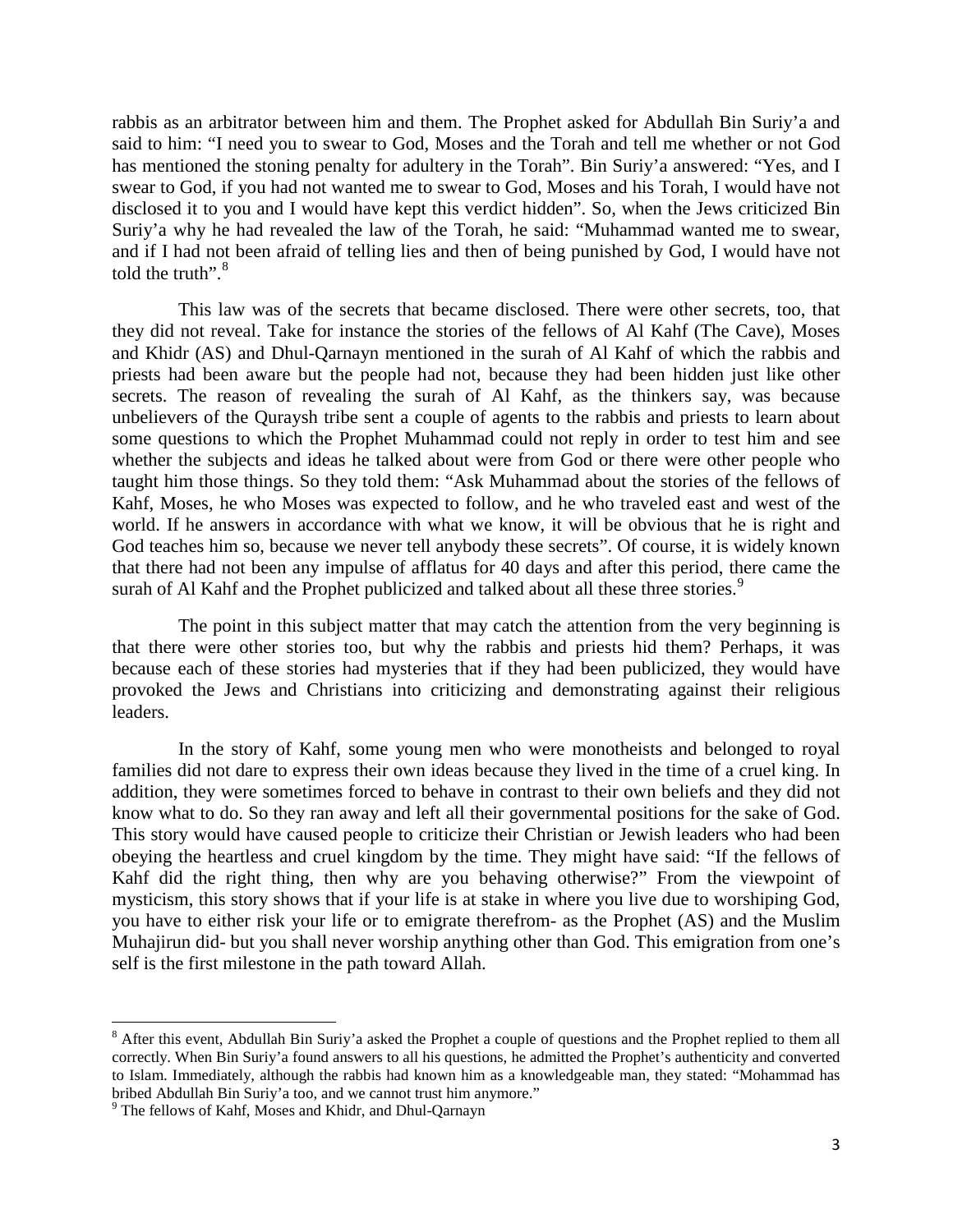rabbis as an arbitrator between him and them. The Prophet asked for Abdullah Bin Suriy'a and said to him: "I need you to swear to God, Moses and the Torah and tell me whether or not God has mentioned the stoning penalty for adultery in the Torah". Bin Suriy'a answered: "Yes, and I swear to God, if you had not wanted me to swear to God, Moses and his Torah, I would have not disclosed it to you and I would have kept this verdict hidden". So, when the Jews criticized Bin Suriy'a why he had revealed the law of the Torah, he said: "Muhammad wanted me to swear, and if I had not been afraid of telling lies and then of being punished by God, I would have not told the truth". $\rm ^8$  $\rm ^8$ 

This law was of the secrets that became disclosed. There were other secrets, too, that they did not reveal. Take for instance the stories of the fellows of Al Kahf (The Cave), Moses and Khidr (AS) and Dhul-Qarnayn mentioned in the surah of Al Kahf of which the rabbis and priests had been aware but the people had not, because they had been hidden just like other secrets. The reason of revealing the surah of Al Kahf, as the thinkers say, was because unbelievers of the Quraysh tribe sent a couple of agents to the rabbis and priests to learn about some questions to which the Prophet Muhammad could not reply in order to test him and see whether the subjects and ideas he talked about were from God or there were other people who taught him those things. So they told them: "Ask Muhammad about the stories of the fellows of Kahf, Moses, he who Moses was expected to follow, and he who traveled east and west of the world. If he answers in accordance with what we know, it will be obvious that he is right and God teaches him so, because we never tell anybody these secrets". Of course, it is widely known that there had not been any impulse of afflatus for 40 days and after this period, there came the surah of Al Kahf and the Prophet publicized and talked about all these three stories.<sup>[9](#page-2-1)</sup>

The point in this subject matter that may catch the attention from the very beginning is that there were other stories too, but why the rabbis and priests hid them? Perhaps, it was because each of these stories had mysteries that if they had been publicized, they would have provoked the Jews and Christians into criticizing and demonstrating against their religious leaders.

In the story of Kahf, some young men who were monotheists and belonged to royal families did not dare to express their own ideas because they lived in the time of a cruel king. In addition, they were sometimes forced to behave in contrast to their own beliefs and they did not know what to do. So they ran away and left all their governmental positions for the sake of God. This story would have caused people to criticize their Christian or Jewish leaders who had been obeying the heartless and cruel kingdom by the time. They might have said: "If the fellows of Kahf did the right thing, then why are you behaving otherwise?" From the viewpoint of mysticism, this story shows that if your life is at stake in where you live due to worshiping God, you have to either risk your life or to emigrate therefrom- as the Prophet (AS) and the Muslim Muhajirun did- but you shall never worship anything other than God. This emigration from one's self is the first milestone in the path toward Allah.

<span id="page-2-0"></span><sup>&</sup>lt;sup>8</sup> After this event, Abdullah Bin Suriy'a asked the Prophet a couple of questions and the Prophet replied to them all correctly. When Bin Suriy'a found answers to all his questions, he admitted the Prophet's authenticity and converted to Islam. Immediately, although the rabbis had known him as a knowledgeable man, they stated: "Mohammad has bribed Abdullah Bin Suriy'a too, and we cannot trust him anymore."

<span id="page-2-1"></span> $\mu$ <sup>9</sup> The fellows of Kahf, Moses and Khidr, and Dhul-Qarnayn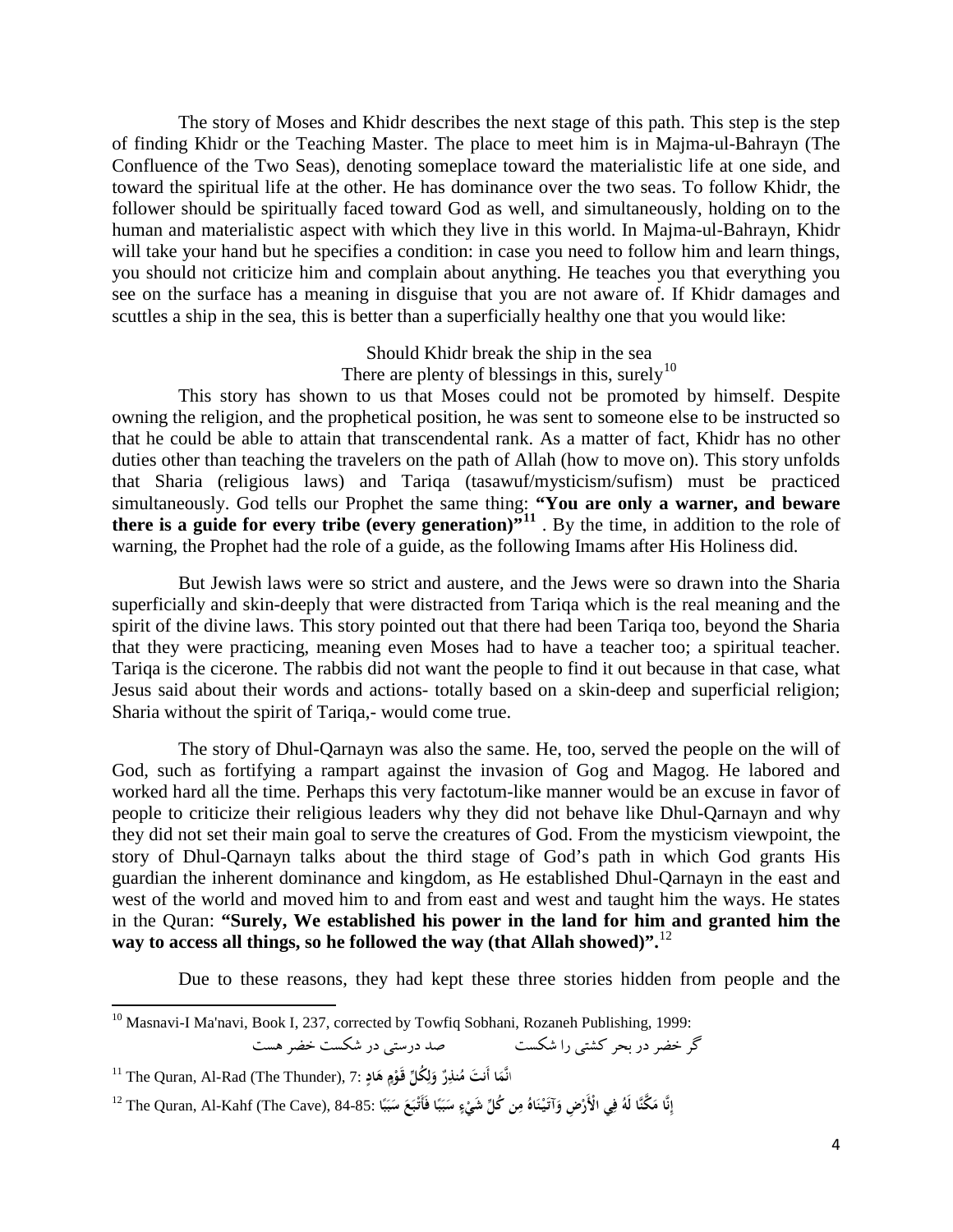The story of Moses and Khidr describes the next stage of this path. This step is the step of finding Khidr or the Teaching Master. The place to meet him is in Majma-ul-Bahrayn (The Confluence of the Two Seas), denoting someplace toward the materialistic life at one side, and toward the spiritual life at the other. He has dominance over the two seas. To follow Khidr, the follower should be spiritually faced toward God as well, and simultaneously, holding on to the human and materialistic aspect with which they live in this world. In Majma-ul-Bahrayn, Khidr will take your hand but he specifies a condition: in case you need to follow him and learn things, you should not criticize him and complain about anything. He teaches you that everything you see on the surface has a meaning in disguise that you are not aware of. If Khidr damages and scuttles a ship in the sea, this is better than a superficially healthy one that you would like:

> Should Khidr break the ship in the sea There are plenty of blessings in this, surely<sup>10</sup>

This story has shown to us that Moses could not be promoted by himself. Despite owning the religion, and the prophetical position, he was sent to someone else to be instructed so that he could be able to attain that transcendental rank. As a matter of fact, Khidr has no other duties other than teaching the travelers on the path of Allah (how to move on). This story unfolds that Sharia (religious laws) and Tariqa (tasawuf/mysticism/sufism) must be practiced simultaneously. God tells our Prophet the same thing: **"You are only a warner, and beware there is a guide for every tribe (every generation)** $^{(n)}$ **<sup>11</sup>. By the time, in addition to the role of** warning, the Prophet had the role of a guide, as the following Imams after His Holiness did.

But Jewish laws were so strict and austere, and the Jews were so drawn into the Sharia superficially and skin-deeply that were distracted from Tariqa which is the real meaning and the spirit of the divine laws. This story pointed out that there had been Tariqa too, beyond the Sharia that they were practicing, meaning even Moses had to have a teacher too; a spiritual teacher. Tariqa is the cicerone. The rabbis did not want the people to find it out because in that case, what Jesus said about their words and actions- totally based on a skin-deep and superficial religion; Sharia without the spirit of Tariqa,- would come true.

The story of Dhul-Qarnayn was also the same. He, too, served the people on the will of God, such as fortifying a rampart against the invasion of Gog and Magog. He labored and worked hard all the time. Perhaps this very factotum-like manner would be an excuse in favor of people to criticize their religious leaders why they did not behave like Dhul-Qarnayn and why they did not set their main goal to serve the creatures of God. From the mysticism viewpoint, the story of Dhul-Qarnayn talks about the third stage of God's path in which God grants His guardian the inherent dominance and kingdom, as He established Dhul-Qarnayn in the east and west of the world and moved him to and from east and west and taught him the ways. He states in the Quran: **"Surely, We established his power in the land for him and granted him the**  way to access all things, so he followed the way (that Allah showed)".<sup>12</sup>

Due to these reasons, they had kept these three stories hidden from people and the

<sup>&</sup>lt;sup>10</sup> Masnavi-I Ma'navi, Book I, 237, corrected by Towfiq Sobhani, Rozaneh Publishing, 1999:

گر خضر در بحر كشتي را شكست صد درستي در شكست خضر هست

انَّمَا أَنتَ مُنْذِرٌ وَلِكُلِّ قَوْمٍ هَادٍ :7, The Quran, Al-Rad (The Thunder), 7 **ِل َ َ**

إِنَّا مَكَّنَّا لَهُ فِي الْأَرْضِ وَآتَيْنَاهُ مِن كُلِّ شَيْءٍ سَبَبًا فَأَتْبَعَ سَبَبًا .85-84 The Quran, Al-Kahf (The Cave), 84-85 **َ َ ًٍ َ َ**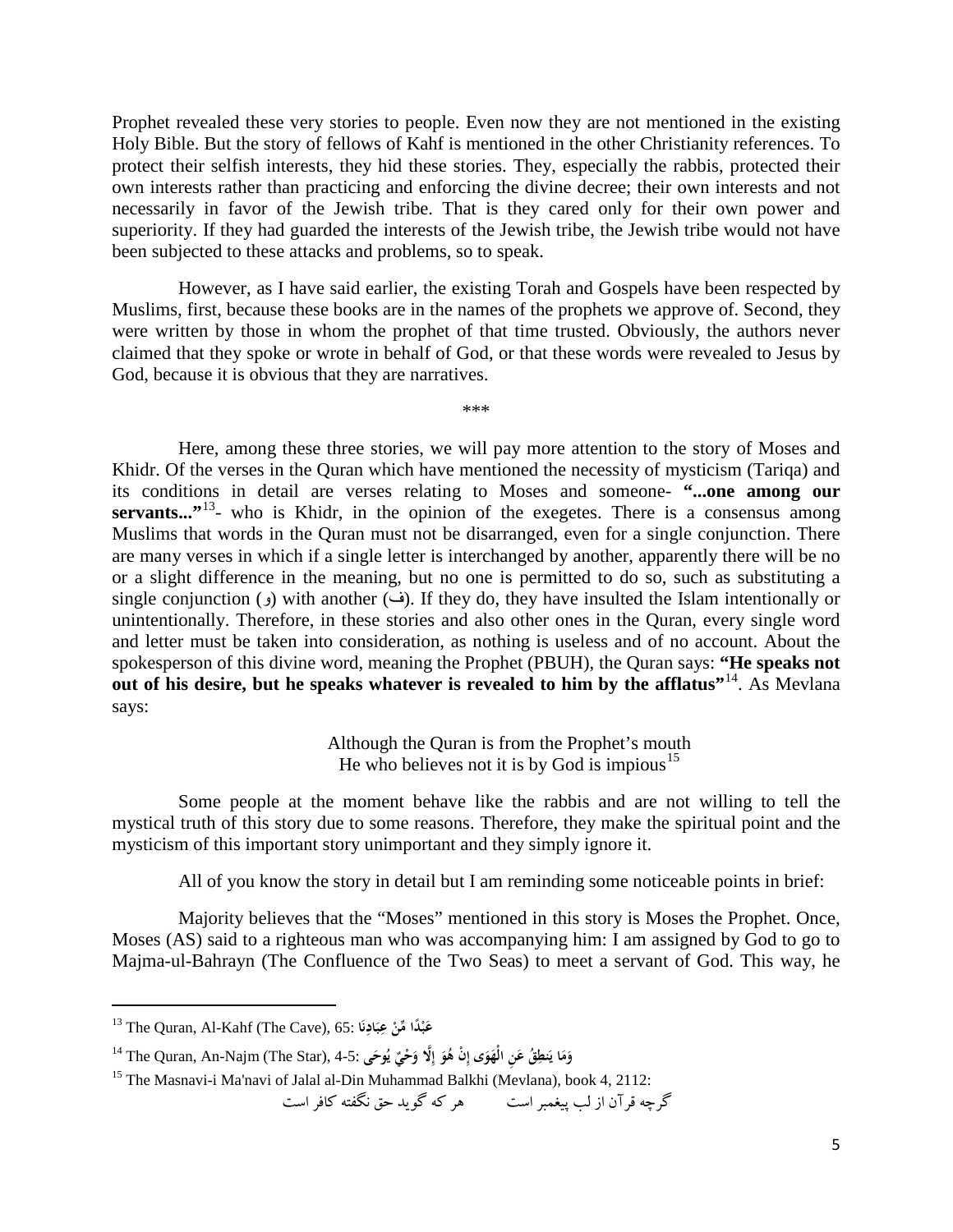Prophet revealed these very stories to people. Even now they are not mentioned in the existing Holy Bible. But the story of fellows of Kahf is mentioned in the other Christianity references. To protect their selfish interests, they hid these stories. They, especially the rabbis, protected their own interests rather than practicing and enforcing the divine decree; their own interests and not necessarily in favor of the Jewish tribe. That is they cared only for their own power and superiority. If they had guarded the interests of the Jewish tribe, the Jewish tribe would not have been subjected to these attacks and problems, so to speak.

However, as I have said earlier, the existing Torah and Gospels have been respected by Muslims, first, because these books are in the names of the prophets we approve of. Second, they were written by those in whom the prophet of that time trusted. Obviously, the authors never claimed that they spoke or wrote in behalf of God, or that these words were revealed to Jesus by God, because it is obvious that they are narratives.

\*\*\*

Here, among these three stories, we will pay more attention to the story of Moses and Khidr. Of the verses in the Quran which have mentioned the necessity of mysticism (Tariqa) and its conditions in detail are verses relating to Moses and someone- **"...one among our**  servants...<sup>"13</sup>- who is Khidr, in the opinion of the exegetes. There is a consensus among Muslims that words in the Quran must not be disarranged, even for a single conjunction. There are many verses in which if a single letter is interchanged by another, apparently there will be no or a slight difference in the meaning, but no one is permitted to do so, such as substituting a single conjunction (و) with another ( $\epsilon$ ). If they do, they have insulted the Islam intentionally or unintentionally. Therefore, in these stories and also other ones in the Quran, every single word and letter must be taken into consideration, as nothing is useless and of no account. About the spokesperson of this divine word, meaning the Prophet (PBUH), the Quran says: **"He speaks not out of his desire, but he speaks whatever is revealed to him by the afflatus"<sup>14</sup>. As Mevlana** says:

> Although the Quran is from the Prophet's mouth He who believes not it is by God is impious<sup>15</sup>

Some people at the moment behave like the rabbis and are not willing to tell the mystical truth of this story due to some reasons. Therefore, they make the spiritual point and the mysticism of this important story unimportant and they simply ignore it.

All of you know the story in detail but I am reminding some noticeable points in brief:

Majority believes that the "Moses" mentioned in this story is Moses the Prophet. Once, Moses (AS) said to a righteous man who was accompanying him: I am assigned by God to go to Majma-ul-Bahrayn (The Confluence of the Two Seas) to meet a servant of God. This way, he

 $\overline{\phantom{a}}$ 

```
گرچه قرآن از لب پيغمبر است هر كه گويد حق نگفته كافر است
```
<sup>13</sup> The Quran, Al-Kahf (The Cave), 65: **داً ْ ب ا ْ ع ِّمن ن َاد ب ع َ َ ِِ**

وَمَا يَنطِقُ عَنِ الْهَوَى إِنْ هُوَ إِلَّا وَحْيٌ يُوحَى :4-5. The Quran, An-Najm (The Star), 4-5-<br>-**َ ِ**

<sup>&</sup>lt;sup>15</sup> The Masnavi-i Ma'navi of Jalal al-Din Muhammad Balkhi (Mevlana), book 4, 2112: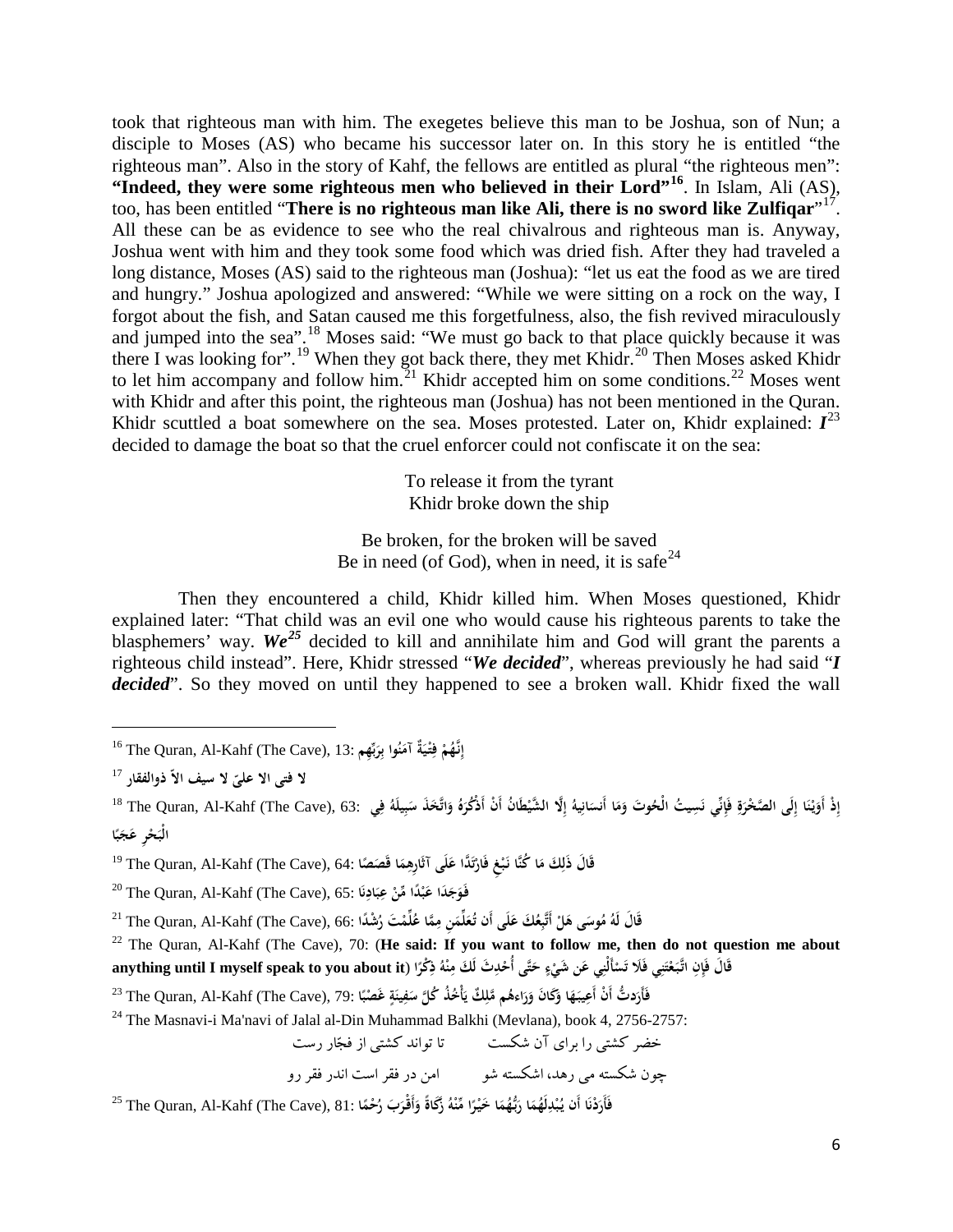took that righteous man with him. The exegetes believe this man to be Joshua, son of Nun; a disciple to Moses (AS) who became his successor later on. In this story he is entitled "the righteous man". Also in the story of Kahf, the fellows are entitled as plural "the righteous men": **"Indeed, they were some righteous men who believed in their Lord"[16](#page-5-0)**. In Islam, Ali (AS), too, has been entitled "**There is no righteous man like Ali, there is no sword like Zulfiqar**"[17](#page-5-1). All these can be as evidence to see who the real chivalrous and righteous man is. Anyway, Joshua went with him and they took some food which was dried fish. After they had traveled a long distance, Moses (AS) said to the righteous man (Joshua): "let us eat the food as we are tired and hungry." Joshua apologized and answered: "While we were sitting on a rock on the way, I forgot about the fish, and Satan caused me this forgetfulness, also, the fish revived miraculously and jumped into the sea".<sup>[18](#page-5-2)</sup> Moses said: "We must go back to that place quickly because it was there I was looking for".<sup>[19](#page-5-3)</sup> When they got back there, they met Khidr.<sup>[20](#page-5-4)</sup> Then Moses asked Khidr to let him accompany and follow him.<sup>[21](#page-5-5)</sup> Khidr accepted him on some conditions.<sup>[22](#page-5-6)</sup> Moses went with Khidr and after this point, the righteous man (Joshua) has not been mentioned in the Quran. Khidr scuttled a boat somewhere on the sea. Moses protested. Later on, Khidr explained:  $I^{23}$  $I^{23}$  $I^{23}$ decided to damage the boat so that the cruel enforcer could not confiscate it on the sea:

> To release it from the tyrant Khidr broke down the ship

Be broken, for the broken will be saved Be in need (of God), when in need, it is safe<sup>[24](#page-5-8)</sup>

Then they encountered a child, Khidr killed him. When Moses questioned, Khidr explained later: "That child was an evil one who would cause his righteous parents to take the blasphemers' way. We<sup>[25](#page-5-9)</sup> decided to kill and annihilate him and God will grant the parents a righteous child instead". Here, Khidr stressed "*We decided*", whereas previously he had said "*I* decided". So they moved on until they happened to see a broken wall. Khidr fixed the wall

<span id="page-5-0"></span><sup>16</sup> The Quran, Al-Kahf (The Cave), 13: **ْ ُم نـه ٌ َِّ َ إ ة ْي ُ <sup>ف</sup> وا ِتـ ن َ آم بِِّهم َ ِر ب** 

<span id="page-5-1"></span>**ّ ذوالفقار ّ لا فتی الا** <sup>17</sup> **علی لا سيف الا**

 $\overline{\phantom{a}}$ 

<span id="page-5-2"></span>إِذْ أَوَيْنَا إِلَى الصَّخْرَةِ فَإِنِّي نَسِيتُ الْحُوتَ وَمَا أَنسَانِيهُ إِلَّا الشَّيْطَانُ أَنْ أَذْكُرَهُ وَاتَّحَذَ سَبِيلَهُ فِي 18 The Quran, Al-Kahf (The Cave), 63: هَا **ْ َ** الْبَحْرِ عَجَبًا **َ**

<span id="page-5-3"></span>قَالَ ذَلِكَ مَا كُنَّا نَبْغِ فَارْتَدًّا عَلَى آثَارِهِمَا قَصَصًا :64. The Quran, Al-Kahf (The Cave), 64 °ا **ت**

<span id="page-5-4"></span><sup>20</sup> The Quran, Al-Kahf (The Cave), 65: **داَ َ ْ ًد َفـو ا َج َب ا ْ ع ِّمن ن َاد ب ع َ ِِ**

<span id="page-5-5"></span><sup>21</sup> The Quran, Al-Kahf (The Cave), 66: فَالَ مَكْمَتِ مِمَّا غُلِّمْتَ رُشْدًا)<br>~~ **َ**

<span id="page-5-6"></span><sup>22</sup> The Quran, Al-Kahf (The Cave), 70: (**He said: If you want to follow me, then do not question me about**  قَالَ فَإِنِ اتَّبَعْتَنِي فَلَا تَسْأَلْنِي عَن شَيْءٍ حَتَّى أُحْدِثَ لَكَ مِنْهُ ذِكْرًا (anything until I myself speak to you about it **َ ْ ِ**

<span id="page-5-7"></span><sup>23</sup> The Quran, Al-Kahf (The Cave), 79: فَأَرَدتُّ أَنْ أَعِيبَهَا وَ<sup>23</sup> The Quran, Al-Kahf (The Cave), 79: تَ **َ ٍ**

<span id="page-5-8"></span><sup>24</sup> The Masnavi-i Ma'navi of Jalal al-Din Muhammad Balkhi (Mevlana), book 4, 2756-2757:

خضر كشتي را براي آن شكست تا تواند كشتي از فجار رست چون شكسته مي رهد، اشكسته شو امن در فقر است اندر فقر رو

<span id="page-5-9"></span>فَأَرَدْنَا أَنْ يُبْدِلَهُمَا رَبُّهُمَا خَيْرًا مِّنْهُ زَكَاةً وَأَقْرَبَ رُحْمًا :81 The Quran, Al-Kahf (The Cave), 81 **ُ ِ**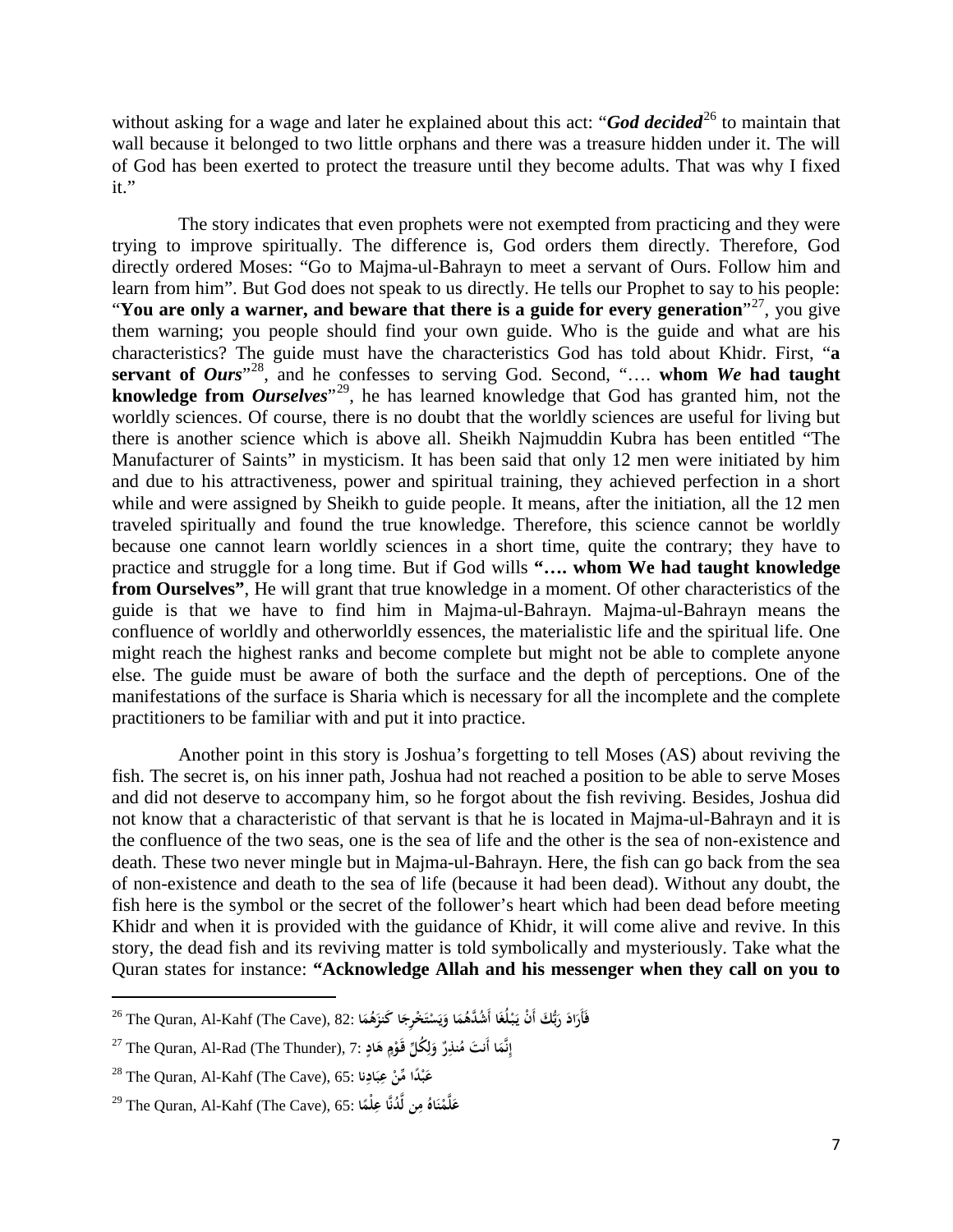without asking for a wage and later he explained about this act: "*God decided*<sup>[26](#page-6-0)</sup> to maintain that wall because it belonged to two little orphans and there was a treasure hidden under it. The will of God has been exerted to protect the treasure until they become adults. That was why I fixed it."

The story indicates that even prophets were not exempted from practicing and they were trying to improve spiritually. The difference is, God orders them directly. Therefore, God directly ordered Moses: "Go to Majma-ul-Bahrayn to meet a servant of Ours. Follow him and learn from him". But God does not speak to us directly. He tells our Prophet to say to his people: "**You are only a warner, and beware that there is a guide for every generation**"[27](#page-6-1), you give them warning; you people should find your own guide. Who is the guide and what are his characteristics? The guide must have the characteristics God has told about Khidr. First, "**a**  servant of *Ours*<sup>"28</sup>, and he confesses to serving God. Second, ".... whom *We* had taught **knowledge from** *Ourselves*"[29,](#page-6-3) he has learned knowledge that God has granted him, not the worldly sciences. Of course, there is no doubt that the worldly sciences are useful for living but there is another science which is above all. Sheikh Najmuddin Kubra has been entitled "The Manufacturer of Saints" in mysticism. It has been said that only 12 men were initiated by him and due to his attractiveness, power and spiritual training, they achieved perfection in a short while and were assigned by Sheikh to guide people. It means, after the initiation, all the 12 men traveled spiritually and found the true knowledge. Therefore, this science cannot be worldly because one cannot learn worldly sciences in a short time, quite the contrary; they have to practice and struggle for a long time. But if God wills **"…. whom We had taught knowledge from Ourselves"**, He will grant that true knowledge in a moment. Of other characteristics of the guide is that we have to find him in Majma-ul-Bahrayn. Majma-ul-Bahrayn means the confluence of worldly and otherworldly essences, the materialistic life and the spiritual life. One might reach the highest ranks and become complete but might not be able to complete anyone else. The guide must be aware of both the surface and the depth of perceptions. One of the manifestations of the surface is Sharia which is necessary for all the incomplete and the complete practitioners to be familiar with and put it into practice.

Another point in this story is Joshua's forgetting to tell Moses (AS) about reviving the fish. The secret is, on his inner path, Joshua had not reached a position to be able to serve Moses and did not deserve to accompany him, so he forgot about the fish reviving. Besides, Joshua did not know that a characteristic of that servant is that he is located in Majma-ul-Bahrayn and it is the confluence of the two seas, one is the sea of life and the other is the sea of non-existence and death. These two never mingle but in Majma-ul-Bahrayn. Here, the fish can go back from the sea of non-existence and death to the sea of life (because it had been dead). Without any doubt, the fish here is the symbol or the secret of the follower's heart which had been dead before meeting Khidr and when it is provided with the guidance of Khidr, it will come alive and revive. In this story, the dead fish and its reviving matter is told symbolically and mysteriously. Take what the Quran states for instance: **"Acknowledge Allah and his messenger when they call on you to** 

 $\overline{\phantom{a}}$ 

<span id="page-6-0"></span>فَأَرَادَ رَبُّكَ أَنْ يَبْلُغَا أَشُدَّهُمَا وَيَسْتَخْرِجَا كَنزَهُمَا :82 The Quran, Al-Kahf (The Cave), 82 **َ ْ ي**

<span id="page-6-1"></span><sup>27</sup> The Quran, Al-Rad (The Thunder), 7: **ا نَّم أَنت ٌ إ ِر َ ُنذ ُك ِّل م و ْم ٍ َقـو َاد ه َ ِ ِل َ ٍ**

<span id="page-6-2"></span><sup>28</sup> The Quran, Al-Kahf (The Cave), 65: **داً ْ َب ِّمن ن ْ ع َاد ب ع ا ِ ِ**

<span id="page-6-3"></span><sup>29</sup> The Quran, Al-Kahf (The Cave), 65: **ُ َاه ْن َّم ُد <sup>م</sup> نَّا ِ <sup>ع</sup> <sup>ن</sup> َل ً <sup>ل</sup> <sup>ا</sup> َّ ِلْم ع**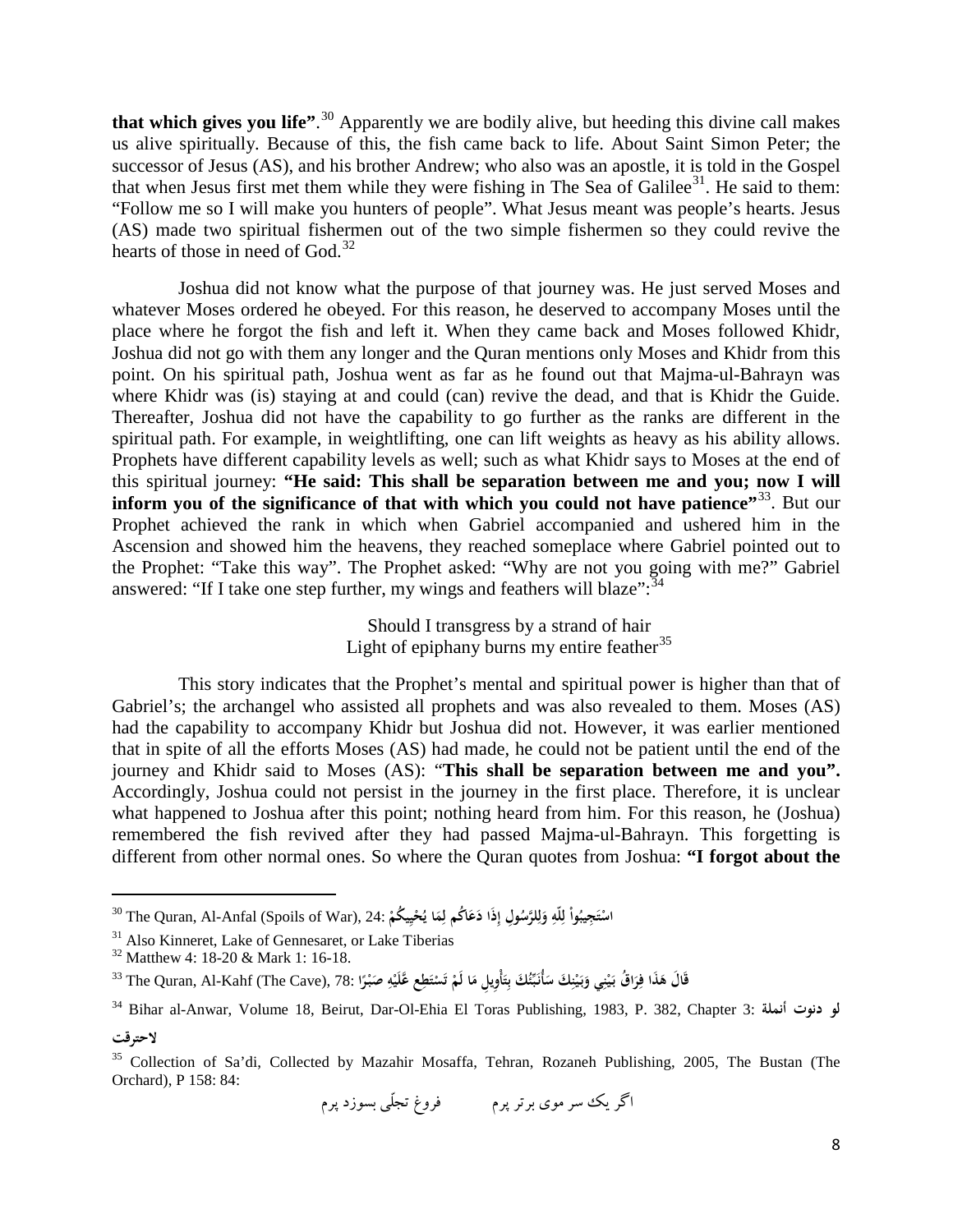**that which gives you life"**. [30](#page-7-0) Apparently we are bodily alive, but heeding this divine call makes us alive spiritually. Because of this, the fish came back to life. About Saint Simon Peter; the successor of Jesus (AS), and his brother Andrew; who also was an apostle, it is told in the Gospel that when Jesus first met them while they were fishing in The Sea of Galilee<sup>[31](#page-7-1)</sup>. He said to them: "Follow me so I will make you hunters of people". What Jesus meant was people's hearts. Jesus (AS) made two spiritual fishermen out of the two simple fishermen so they could revive the hearts of those in need of God.<sup>[32](#page-7-2)</sup>

Joshua did not know what the purpose of that journey was. He just served Moses and whatever Moses ordered he obeyed. For this reason, he deserved to accompany Moses until the place where he forgot the fish and left it. When they came back and Moses followed Khidr, Joshua did not go with them any longer and the Quran mentions only Moses and Khidr from this point. On his spiritual path, Joshua went as far as he found out that Majma-ul-Bahrayn was where Khidr was (is) staying at and could (can) revive the dead, and that is Khidr the Guide. Thereafter, Joshua did not have the capability to go further as the ranks are different in the spiritual path. For example, in weightlifting, one can lift weights as heavy as his ability allows. Prophets have different capability levels as well; such as what Khidr says to Moses at the end of this spiritual journey: **"He said: This shall be separation between me and you; now I will**  inform you of the significance of that with which you could not have patience"<sup>33</sup>. But our Prophet achieved the rank in which when Gabriel accompanied and ushered him in the Ascension and showed him the heavens, they reached someplace where Gabriel pointed out to the Prophet: "Take this way". The Prophet asked: "Why are not you going with me?" Gabriel answered: "If I take one step further, my wings and feathers will blaze":<sup>34</sup>

> Should I transgress by a strand of hair Light of epiphany burns my entire feather<sup>35</sup>

This story indicates that the Prophet's mental and spiritual power is higher than that of Gabriel's; the archangel who assisted all prophets and was also revealed to them. Moses (AS) had the capability to accompany Khidr but Joshua did not. However, it was earlier mentioned that in spite of all the efforts Moses (AS) had made, he could not be patient until the end of the journey and Khidr said to Moses (AS): "**This shall be separation between me and you".**  Accordingly, Joshua could not persist in the journey in the first place. Therefore, it is unclear what happened to Joshua after this point; nothing heard from him. For this reason, he (Joshua) remembered the fish revived after they had passed Majma-ul-Bahrayn. This forgetting is different from other normal ones. So where the Quran quotes from Joshua: **"I forgot about the** 

 $\overline{\phantom{a}}$ 

<span id="page-7-0"></span>اسْتَجِيبُواْ لِلَّهِ وَلِلرَّسُولِ إِذَا دَعَاكُم لِمَا يُحْيِيكُمْ :The Quran, Al-Anfal (Spoils of War), 24<br>.. **َ ِ ِل ي**

<span id="page-7-1"></span><sup>&</sup>lt;sup>31</sup> Also Kinneret, Lake of Gennesaret, or Lake Tiberias <sup>32</sup> Matthew 4: 18-20 & Mark 1: 16-18.

<span id="page-7-2"></span>

قَالَ هَذَا فِرَاقٌ بَيْنِي وَبَيْنِكَ سَأُنَبِّئُكَ بِتَأْوِيلِ مَا لَمْ تَسْتَطِع عَّلَيْهِ صَبْرًا :78. The Quran, Al-Kahf (The Cave), 78 آ **ْ َ ِْ َ َ ْ**

<sup>34</sup> Bihar al-Anwar, Volume 18, Beirut, Dar-Ol-Ehia El Toras Publishing, 1983, P. 382, Chapter 3: **أنملة دنوت لو**

**لاحترقت**

<sup>35</sup> Collection of Sa'di, Collected by Mazahir Mosaffa, Tehran, Rozaneh Publishing, 2005, The Bustan (The Orchard), P 158: 84: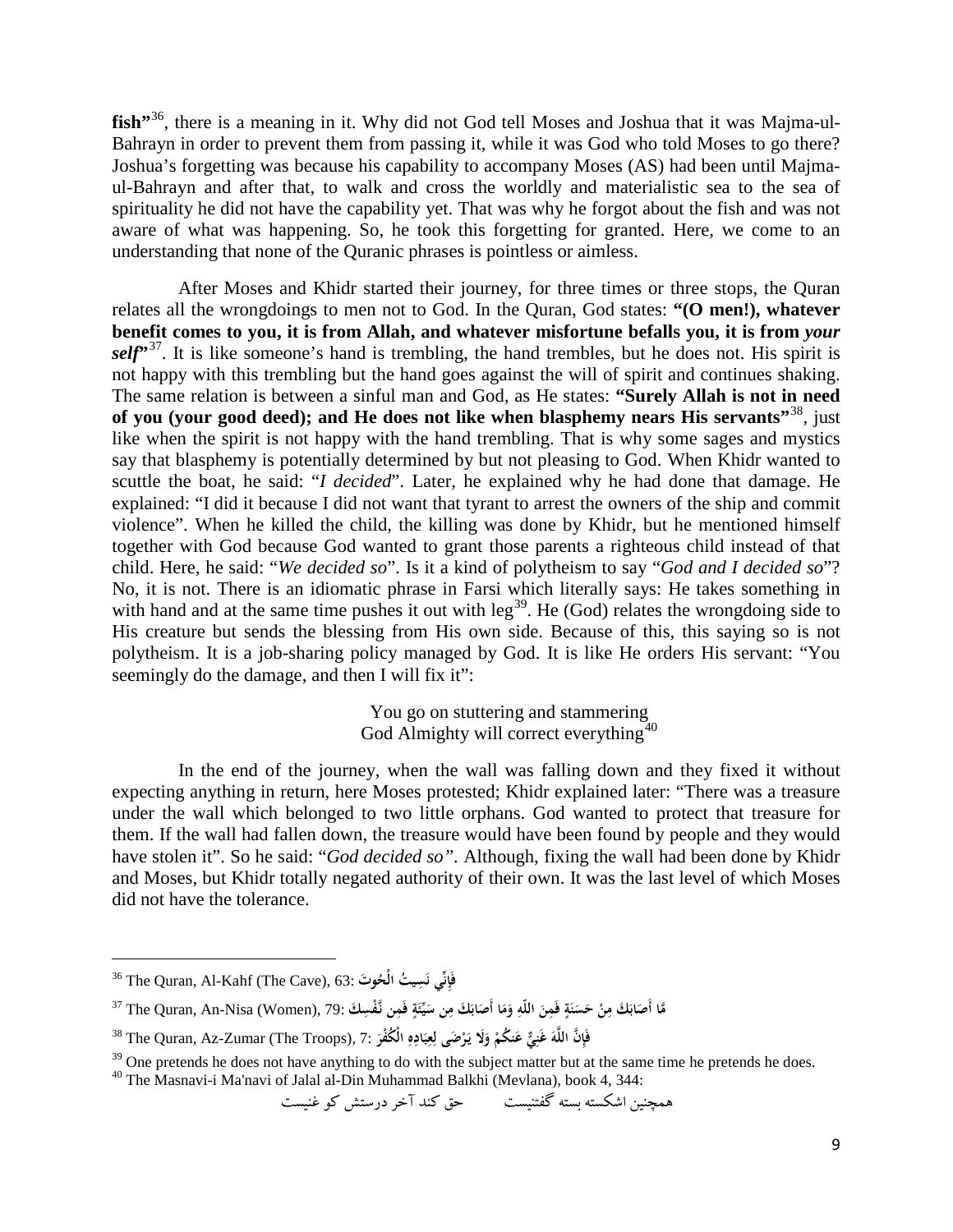fish<sup>7[36](#page-8-0)</sup>, there is a meaning in it. Why did not God tell Moses and Joshua that it was Majma-ul-Bahrayn in order to prevent them from passing it, while it was God who told Moses to go there? Joshua's forgetting was because his capability to accompany Moses (AS) had been until Majmaul-Bahrayn and after that, to walk and cross the worldly and materialistic sea to the sea of spirituality he did not have the capability yet. That was why he forgot about the fish and was not aware of what was happening. So, he took this forgetting for granted. Here, we come to an understanding that none of the Quranic phrases is pointless or aimless.

After Moses and Khidr started their journey, for three times or three stops, the Quran relates all the wrongdoings to men not to God. In the Quran, God states: **"(O men!), whatever benefit comes to you, it is from Allah, and whatever misfortune befalls you, it is from** *your* self<sup>7[37](#page-8-1)</sup>. It is like someone's hand is trembling, the hand trembles, but he does not. His spirit is not happy with this trembling but the hand goes against the will of spirit and continues shaking. The same relation is between a sinful man and God, as He states: **"Surely Allah is not in need of you (your good deed); and He does not like when blasphemy nears His servants"**[38](#page-8-2), just like when the spirit is not happy with the hand trembling. That is why some sages and mystics say that blasphemy is potentially determined by but not pleasing to God. When Khidr wanted to scuttle the boat, he said: "*I decided*". Later, he explained why he had done that damage. He explained: "I did it because I did not want that tyrant to arrest the owners of the ship and commit violence". When he killed the child, the killing was done by Khidr, but he mentioned himself together with God because God wanted to grant those parents a righteous child instead of that child. Here, he said: "*We decided so*". Is it a kind of polytheism to say "*God and I decided so*"? No, it is not. There is an idiomatic phrase in Farsi which literally says: He takes something in with hand and at the same time pushes it out with  $leg^{39}$ . He (God) relates the wrongdoing side to His creature but sends the blessing from His own side. Because of this, this saying so is not polytheism. It is a job-sharing policy managed by God. It is like He orders His servant: "You seemingly do the damage, and then I will fix it":

> You go on stuttering and stammering God Almighty will correct everything<sup>[40](#page-8-4)</sup>

In the end of the journey, when the wall was falling down and they fixed it without expecting anything in return, here Moses protested; Khidr explained later: "There was a treasure under the wall which belonged to two little orphans. God wanted to protect that treasure for them. If the wall had fallen down, the treasure would have been found by people and they would have stolen it". So he said: "*God decided so*". Although, fixing the wall had been done by Khidr and Moses, but Khidr totally negated authority of their own. It was the last level of which Moses did not have the tolerance.

l

همچنين اشكسته بسته گفتنيست حق كند آخر درستش كو غنيست

<span id="page-8-0"></span><sup>36</sup> The Quran, Al-Kahf (The Cave), 63: **نِِّ ي إَ يت ف ِس ُ ُ َوت ن الْح َ**

<span id="page-8-1"></span>مَّا أَصَابَكَ مِنْ حَسَنَةٍ فَمِنَ اللَّهِ وَمَا أَصَابَكَ مِن سَيِّئَةٍ فَمِن نَّفْسِكَ :79. The Quran, An-Nisa (Women), 79 **َ ِ َ**

<span id="page-8-2"></span><sup>&</sup>lt;sup>38</sup> The Quran, Az-Zumar (The Troops), 7: فَإِنَّ اللَّهَ عَنِيٌّ عَنكُمْ وَلَا يَرْضَى لِعِبَادِهِ الْكُفْرَ .<br>~ **ِ ِ ِ**

<span id="page-8-3"></span><sup>&</sup>lt;sup>39</sup> One pretends he does not have anything to do with the subject matter but at the same time he pretends he does.  $40$  The Masnavi-i Ma'navi of Jalal al-Din Muhammad Balkhi (Mevlana), book 4, 344:

<span id="page-8-4"></span>